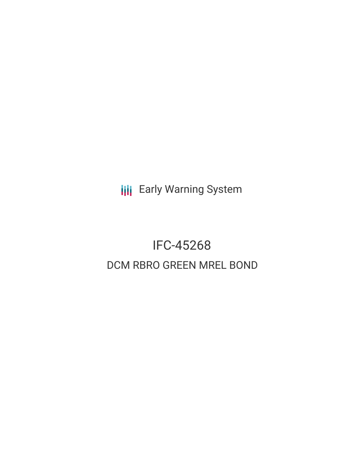**III** Early Warning System

# IFC-45268 DCM RBRO GREEN MREL BOND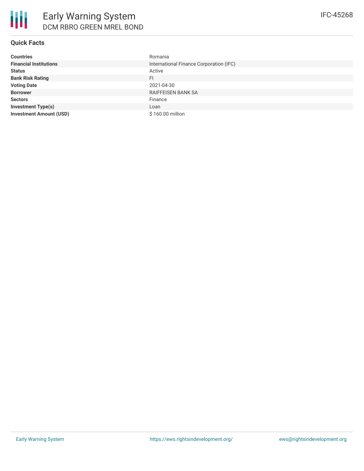## **Quick Facts**

| <b>Countries</b>               | Romania                                 |
|--------------------------------|-----------------------------------------|
| <b>Financial Institutions</b>  | International Finance Corporation (IFC) |
| <b>Status</b>                  | Active                                  |
| <b>Bank Risk Rating</b>        | FI                                      |
| <b>Voting Date</b>             | 2021-04-30                              |
| <b>Borrower</b>                | <b>RAIFFEISEN BANK SA</b>               |
| <b>Sectors</b>                 | Finance                                 |
| <b>Investment Type(s)</b>      | Loan                                    |
| <b>Investment Amount (USD)</b> | \$160.00 million                        |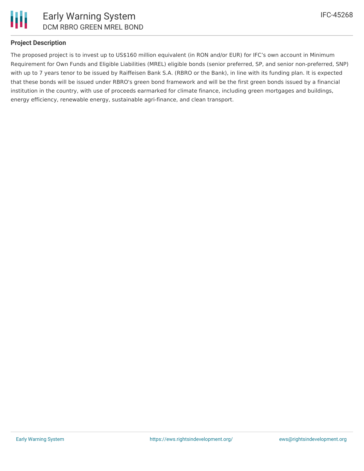

#### **Project Description**

The proposed project is to invest up to US\$160 million equivalent (in RON and/or EUR) for IFC's own account in Minimum Requirement for Own Funds and Eligible Liabilities (MREL) eligible bonds (senior preferred, SP, and senior non-preferred, SNP) with up to 7 years tenor to be issued by Raiffeisen Bank S.A. (RBRO or the Bank), in line with its funding plan. It is expected that these bonds will be issued under RBRO's green bond framework and will be the first green bonds issued by a financial institution in the country, with use of proceeds earmarked for climate finance, including green mortgages and buildings, energy efficiency, renewable energy, sustainable agri-finance, and clean transport.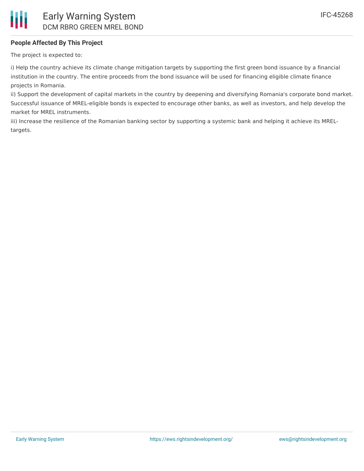## **People Affected By This Project**

The project is expected to:

i) Help the country achieve its climate change mitigation targets by supporting the first green bond issuance by a financial institution in the country. The entire proceeds from the bond issuance will be used for financing eligible climate finance projects in Romania.

ii) Support the development of capital markets in the country by deepening and diversifying Romania's corporate bond market. Successful issuance of MREL-eligible bonds is expected to encourage other banks, as well as investors, and help develop the market for MREL instruments.

iii) Increase the resilience of the Romanian banking sector by supporting a systemic bank and helping it achieve its MRELtargets.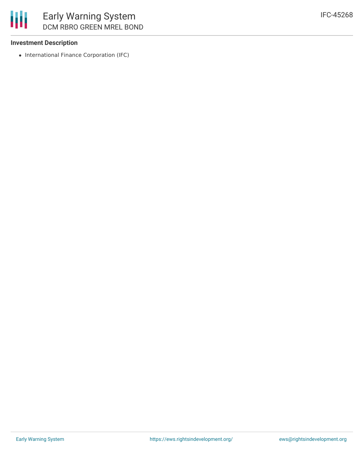IFC-45268

## **Investment Description**

朋

• International Finance Corporation (IFC)